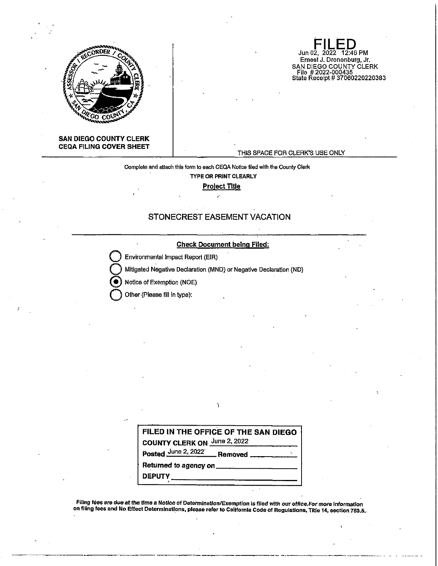

**FILED**  Jun 02, 2022 12:46 PM Ernest J. Dronenburg, Jr. SAN DIEGO COUNTY CLERK File # 2022-000435 State Receipt# 37060220220383

# **SAN DIEGO COUNTY CLERK CEQA FILING COVER SHEET**

# THIS SPACE FOR CLERK'S USE ONLY

**Complete and attach this form to each CEQA Notice filed with the County Clerk TYPE OR PRINT CLEARLY** 

**Project Title** 

# **STONECREST EASEMENT VACATION**



| FILED IN THE OFFICE OF THE SAN DIEGO |
|--------------------------------------|
| <b>COUNTY CLERK ON June 2, 2022</b>  |
| Posted June 2, 2022 Removed          |
| Returned to agency on ______         |
| DEPUTY_                              |
|                                      |

**Filing tees are due at the time a Notice of Determination/Exemption is filed with our office.For more Information on filing fees are one at the unite a notice of Selemmanum somption is moderning former.** So more intermediation 753,5,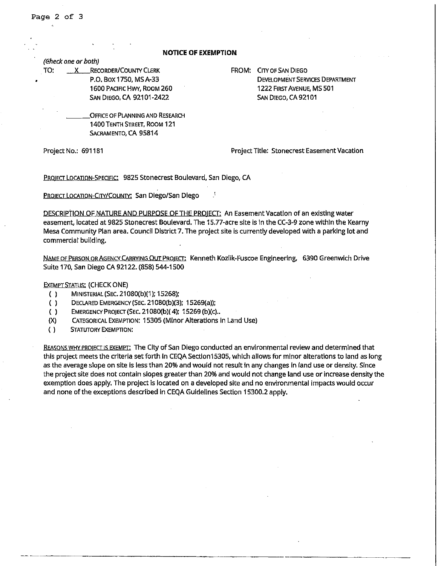•

### **NOTICE OF EXEMPTION**

(Gheck one or both)

TO: X RECORDER/COUNTY CLERK P.O. Box 1750, MSA-33 1600 PACIFIC HWY, ROOM 260

SAN DIEGO, CA 92101-2422

OFFICE OF PLANNING AND RESEARCH 1400 TENTH STREET, ROOM 121 SACRAMENTO, CA 95814

FROM: CITY OF SAN DIEGO DEVELOPMENT SERVICES DEPARTMENT 1222 FIRST AVENUE, MS 501 SAN DIEGO, CA 92101

Project No.: 691181 Project Title: Stonecrest Easement Vacation

PROJECT LOCATION-SPECIFIC: 9825 Stonecrest Boulevard, San Diego, CA

PROJECT LOCATION-CITY/COUNTY: San Diego/San Diego

DESCRIPTION OF NATURE AND PURPOSE OF THE PROIECT: An Easement Vacation of an existing water easement, located at 9825 Stonecrest Boulevard. The 15.77-acre site Is In the CC-3-9 zone within the Kearny Mesa Community Plan area. Council District 7. The project site Is currently developed with a parking lot and commercial building.

NAME OF PERSON OR AGENCY CARRYING OUT PROlECT: Kenneth Kozllk-Fuscoe Engineering, 6390 Greenwich Drive Suite 170, San Diego CA 92122. (858) 544-1500

EXEMPT STATUS: (CHECK ONE)

- ( ) MINISTERIAL (SEC. 21080(b)(1 ); 15268);
- ( ) DECLARED EMERGENCY (SEC. 21080(b)(3); 15269(a));
- ( ) EMERGENCY PROJECT (SEC. 21080(b)(4): 15269 (b)(c).
- (X) CATEGORICAL EXEMPTION: 15305 (Minor Alterations in Land Use)
- ( ) STATUTORY EXEMPTION:

REASONS WHY PBO!ECJ 1s EXEMPT; The City of San Diego conducted an environmental review and determined that this project meets the criteria set forth In CEQA Section 15305, which allows for minor alterations to land as long as the average slope on site is less than 20% and would not result In any changes in land use or density. Since the project site does not contain slopes greater than 20% and would not change land use or increase density the exemption does apply. The project Is located on a developed site and no environmental impacts would occur and none of the exceptions described in CEQA Guidelines Section 15300.2 apply.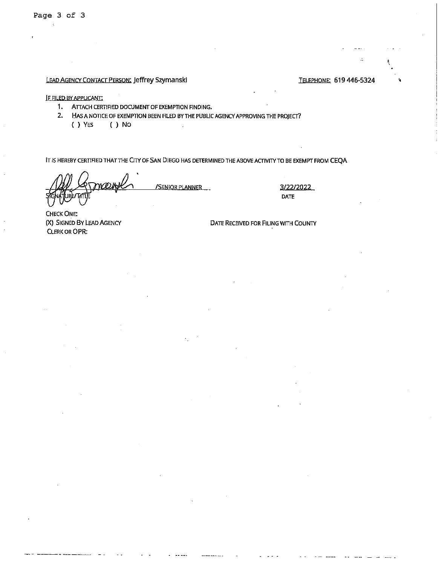# LEAD AGENCY CONTACT PERSON: Jeffrey Szymanski TELEPHONE: 619 446-5324

IF FILED BY APPLICANT:

1. ATTACH CERTIFIED DOCUMENT OF EXEMPTION FINDING.

2. HAS A NOTICE OF EXEMPTION BEEN FILED BY THE PUBLIC AGENCY APPROVING THE PROJECT?

( ) YES ( ) No

IT IS HEREBY CERTIFIED THATTHE CITY OF SAN DIEGO HAS DETERMINED THE ABOVE ACTIVITY TO BE EXEMPT FROM CEQA

/SENIOR PLANNER 3/22/2022

DATE

CHECK ONE: (X) SIGNED BY LEAD AGENCY CLERK OR OPR:

DATE RECEIVED FOR FILING WITH COUNTY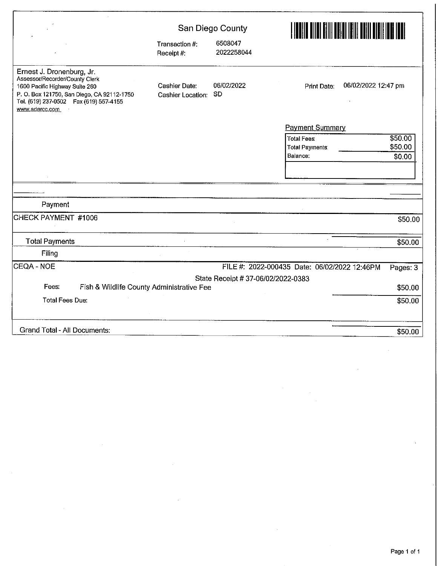|                                                                                                                                                                                                          | San Diego County                   |                                    |                                                         |                              |  |
|----------------------------------------------------------------------------------------------------------------------------------------------------------------------------------------------------------|------------------------------------|------------------------------------|---------------------------------------------------------|------------------------------|--|
|                                                                                                                                                                                                          | Transaction #:<br>Receipt #:       | 6508047<br>2022258044              |                                                         |                              |  |
| Ernest J. Dronenburg, Jr.<br>Assessor/Recorder/County Clerk<br>1600 Pacific Highway Suite 260<br>P. O. Box 121750, San Diego, CA 92112-1750<br>Tel. (619) 237-0502  Fax (619) 557-4155<br>www.sdarcc.com | Cashier Date:<br>Cashier Location: | 06/02/2022<br><b>SD</b>            | 06/02/2022 12:47 pm<br><b>Print Date:</b>               |                              |  |
|                                                                                                                                                                                                          |                                    |                                    | <b>Payment Summary</b>                                  |                              |  |
|                                                                                                                                                                                                          |                                    |                                    | <b>Total Fees:</b><br><b>Total Payments</b><br>Balance: | \$50.00<br>\$50.00<br>\$0.00 |  |
|                                                                                                                                                                                                          |                                    |                                    |                                                         |                              |  |
|                                                                                                                                                                                                          |                                    |                                    |                                                         |                              |  |
| Payment                                                                                                                                                                                                  |                                    |                                    |                                                         |                              |  |
| CHECK PAYMENT #1006                                                                                                                                                                                      |                                    |                                    |                                                         | \$50.00                      |  |
|                                                                                                                                                                                                          |                                    |                                    |                                                         |                              |  |
| <b>Total Payments</b>                                                                                                                                                                                    |                                    |                                    |                                                         | \$50.00                      |  |
| Filing                                                                                                                                                                                                   |                                    |                                    |                                                         |                              |  |
| CEQA - NOE                                                                                                                                                                                               |                                    |                                    | FILE #: 2022-000435 Date: 06/02/2022 12:46PM            | Pages: 3                     |  |
|                                                                                                                                                                                                          |                                    | State Receipt # 37-06/02/2022-0383 |                                                         |                              |  |
| Fees:<br>Fish & Wildlife County Administrative Fee                                                                                                                                                       |                                    |                                    |                                                         | \$50.00                      |  |
| <b>Total Fees Due:</b>                                                                                                                                                                                   |                                    |                                    |                                                         | \$50.00                      |  |
| Grand Total - All Documents:                                                                                                                                                                             |                                    |                                    |                                                         | \$50.00                      |  |

 $\cdot$ 

 $\bar{\gamma}$